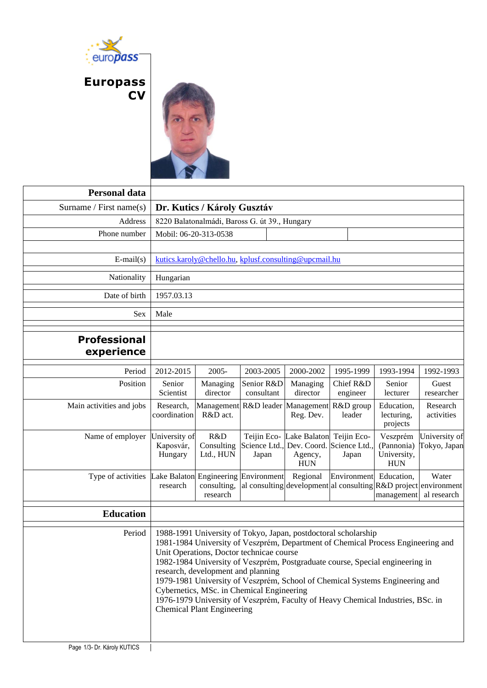

## **Europass CV**



| <b>Personal data</b>              |                                                                                                                                                                                                                                                                                                                                                                                                                                                                                                                                                                            |                                        |                                       |  |                                                      |                                      |                                                     |                                                                                         |
|-----------------------------------|----------------------------------------------------------------------------------------------------------------------------------------------------------------------------------------------------------------------------------------------------------------------------------------------------------------------------------------------------------------------------------------------------------------------------------------------------------------------------------------------------------------------------------------------------------------------------|----------------------------------------|---------------------------------------|--|------------------------------------------------------|--------------------------------------|-----------------------------------------------------|-----------------------------------------------------------------------------------------|
| Surname / First name $(s)$        | Dr. Kutics / Károly Gusztáv                                                                                                                                                                                                                                                                                                                                                                                                                                                                                                                                                |                                        |                                       |  |                                                      |                                      |                                                     |                                                                                         |
| Address                           | 8220 Balatonalmádi, Baross G. út 39., Hungary                                                                                                                                                                                                                                                                                                                                                                                                                                                                                                                              |                                        |                                       |  |                                                      |                                      |                                                     |                                                                                         |
| Phone number                      | Mobil: 06-20-313-0538                                                                                                                                                                                                                                                                                                                                                                                                                                                                                                                                                      |                                        |                                       |  |                                                      |                                      |                                                     |                                                                                         |
|                                   |                                                                                                                                                                                                                                                                                                                                                                                                                                                                                                                                                                            |                                        |                                       |  |                                                      |                                      |                                                     |                                                                                         |
| $E-mail(s)$                       | kutics.karoly@chello.hu, kplusf.consulting@upcmail.hu                                                                                                                                                                                                                                                                                                                                                                                                                                                                                                                      |                                        |                                       |  |                                                      |                                      |                                                     |                                                                                         |
| Nationality                       | Hungarian                                                                                                                                                                                                                                                                                                                                                                                                                                                                                                                                                                  |                                        |                                       |  |                                                      |                                      |                                                     |                                                                                         |
| Date of birth                     | 1957.03.13                                                                                                                                                                                                                                                                                                                                                                                                                                                                                                                                                                 |                                        |                                       |  |                                                      |                                      |                                                     |                                                                                         |
| <b>Sex</b>                        | Male                                                                                                                                                                                                                                                                                                                                                                                                                                                                                                                                                                       |                                        |                                       |  |                                                      |                                      |                                                     |                                                                                         |
| <b>Professional</b><br>experience |                                                                                                                                                                                                                                                                                                                                                                                                                                                                                                                                                                            |                                        |                                       |  |                                                      |                                      |                                                     |                                                                                         |
| Period                            | 2012-2015                                                                                                                                                                                                                                                                                                                                                                                                                                                                                                                                                                  | 2005-                                  | 2003-2005                             |  | 2000-2002                                            | 1995-1999                            | 1993-1994                                           | 1992-1993                                                                               |
| Position                          | Senior<br>Scientist                                                                                                                                                                                                                                                                                                                                                                                                                                                                                                                                                        | Managing<br>director                   | Senior R&D<br>consultant              |  | Managing<br>director                                 | Chief R&D<br>engineer                | Senior<br>lecturer                                  | Guest<br>researcher                                                                     |
| Main activities and jobs          | Research,<br>coordination                                                                                                                                                                                                                                                                                                                                                                                                                                                                                                                                                  | Management<br>R&D act.                 | R&D leader                            |  | Management<br>Reg. Dev.                              | R&D group<br>leader                  | Education,<br>lecturing,<br>projects                | Research<br>activities                                                                  |
| Name of employer                  | University of<br>Kaposvár,<br>Hungary                                                                                                                                                                                                                                                                                                                                                                                                                                                                                                                                      | R&D<br>Consulting<br>Ltd., HUN         | Teijin Eco-<br>Science Ltd.,<br>Japan |  | Lake Balaton<br>Dev. Coord.<br>Agency,<br><b>HUN</b> | Teijin Eco-<br>Science Ltd.<br>Japan | Veszprém<br>(Pannonia)<br>University,<br><b>HUN</b> | University of<br>Tokyo, Japan                                                           |
| Type of activities                | Lake Balaton<br>research                                                                                                                                                                                                                                                                                                                                                                                                                                                                                                                                                   | Engineering<br>consulting,<br>research | Environment                           |  | Regional                                             | Environment                          | Education,<br>management                            | Water<br>al consulting development al consulting R&D project environment<br>al research |
| <b>Education</b>                  |                                                                                                                                                                                                                                                                                                                                                                                                                                                                                                                                                                            |                                        |                                       |  |                                                      |                                      |                                                     |                                                                                         |
| Period                            | 1988-1991 University of Tokyo, Japan, postdoctoral scholarship<br>1981-1984 University of Veszprém, Department of Chemical Process Engineering and<br>Unit Operations, Doctor technicae course<br>1982-1984 University of Veszprém, Postgraduate course, Special engineering in<br>research, development and planning<br>1979-1981 University of Veszprém, School of Chemical Systems Engineering and<br>Cybernetics, MSc. in Chemical Engineering<br>1976-1979 University of Veszprém, Faculty of Heavy Chemical Industries, BSc. in<br><b>Chemical Plant Engineering</b> |                                        |                                       |  |                                                      |                                      |                                                     |                                                                                         |
| Page 1/3- Dr. Károly KUTICS       |                                                                                                                                                                                                                                                                                                                                                                                                                                                                                                                                                                            |                                        |                                       |  |                                                      |                                      |                                                     |                                                                                         |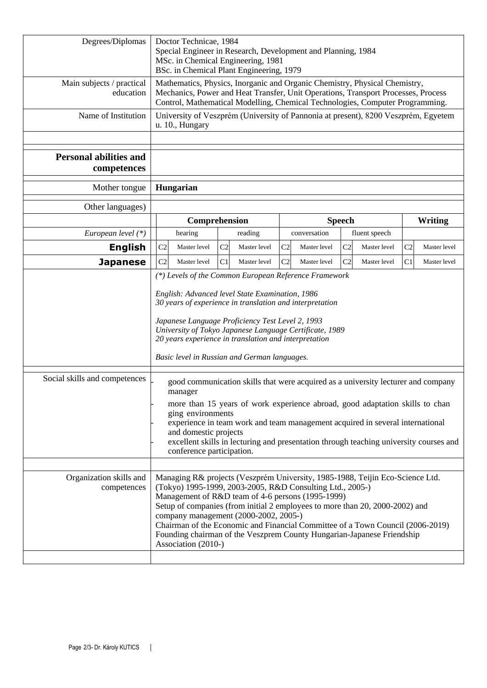| Degrees/Diplomas                             | Doctor Technicae, 1984<br>Special Engineer in Research, Development and Planning, 1984<br>MSc. in Chemical Engineering, 1981<br>BSc. in Chemical Plant Engineering, 1979                                                                                                                                                                                                                                                                                                                                    |                                |                                |                                |                                |  |  |
|----------------------------------------------|-------------------------------------------------------------------------------------------------------------------------------------------------------------------------------------------------------------------------------------------------------------------------------------------------------------------------------------------------------------------------------------------------------------------------------------------------------------------------------------------------------------|--------------------------------|--------------------------------|--------------------------------|--------------------------------|--|--|
| Main subjects / practical<br>education       | Mathematics, Physics, Inorganic and Organic Chemistry, Physical Chemistry,<br>Mechanics, Power and Heat Transfer, Unit Operations, Transport Processes, Process<br>Control, Mathematical Modelling, Chemical Technologies, Computer Programming.                                                                                                                                                                                                                                                            |                                |                                |                                |                                |  |  |
| Name of Institution                          | University of Veszprém (University of Pannonia at present), 8200 Veszprém, Egyetem<br>u. 10., Hungary                                                                                                                                                                                                                                                                                                                                                                                                       |                                |                                |                                |                                |  |  |
| <b>Personal abilities and</b><br>competences |                                                                                                                                                                                                                                                                                                                                                                                                                                                                                                             |                                |                                |                                |                                |  |  |
| Mother tongue                                | Hungarian                                                                                                                                                                                                                                                                                                                                                                                                                                                                                                   |                                |                                |                                |                                |  |  |
| Other languages)                             |                                                                                                                                                                                                                                                                                                                                                                                                                                                                                                             |                                |                                |                                |                                |  |  |
|                                              |                                                                                                                                                                                                                                                                                                                                                                                                                                                                                                             | Comprehension                  |                                | <b>Speech</b>                  | Writing                        |  |  |
| European level (*)                           | hearing                                                                                                                                                                                                                                                                                                                                                                                                                                                                                                     | reading                        | conversation                   | fluent speech                  |                                |  |  |
| <b>English</b>                               | C <sub>2</sub><br>Master level                                                                                                                                                                                                                                                                                                                                                                                                                                                                              | C <sub>2</sub><br>Master level | C <sub>2</sub><br>Master level | C <sub>2</sub><br>Master level | C <sub>2</sub><br>Master level |  |  |
| <b>Japanese</b>                              | C <sub>2</sub><br>Master level<br>(*) Levels of the Common European Reference Framework                                                                                                                                                                                                                                                                                                                                                                                                                     | C <sub>1</sub><br>Master level | C <sub>2</sub><br>Master level | C2<br>Master level             | C <sub>1</sub><br>Master level |  |  |
|                                              | English: Advanced level State Examination, 1986<br>30 years of experience in translation and interpretation<br>Japanese Language Proficiency Test Level 2, 1993<br>University of Tokyo Japanese Language Certificate, 1989<br>20 years experience in translation and interpretation<br>Basic level in Russian and German languages.                                                                                                                                                                         |                                |                                |                                |                                |  |  |
| Social skills and competences                | good communication skills that were acquired as a university lecturer and company<br>manager<br>more than 15 years of work experience abroad, good adaptation skills to chan<br>ging environments<br>experience in team work and team management acquired in several international<br>and domestic projects<br>excellent skills in lecturing and presentation through teaching university courses and<br>conference participation.                                                                          |                                |                                |                                |                                |  |  |
| Organization skills and<br>competences       | Managing R& projects (Veszprém University, 1985-1988, Teijin Eco-Science Ltd.<br>(Tokyo) 1995-1999, 2003-2005, R&D Consulting Ltd., 2005-)<br>Management of R&D team of 4-6 persons (1995-1999)<br>Setup of companies (from initial 2 employees to more than 20, 2000-2002) and<br>company management (2000-2002, 2005-)<br>Chairman of the Economic and Financial Committee of a Town Council (2006-2019)<br>Founding chairman of the Veszprem County Hungarian-Japanese Friendship<br>Association (2010-) |                                |                                |                                |                                |  |  |